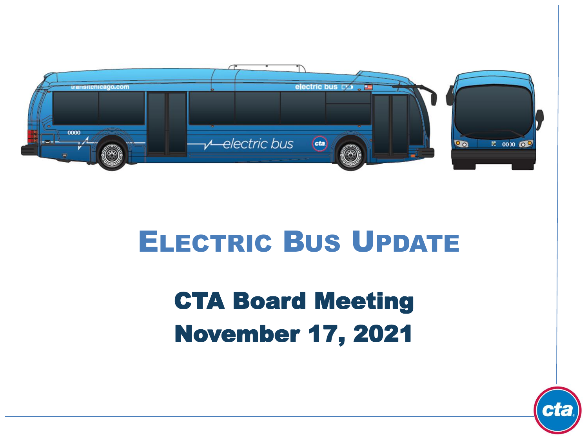

# ELECTRIC BUS UPDATE

# CTA Board Meeting November 17, 2021

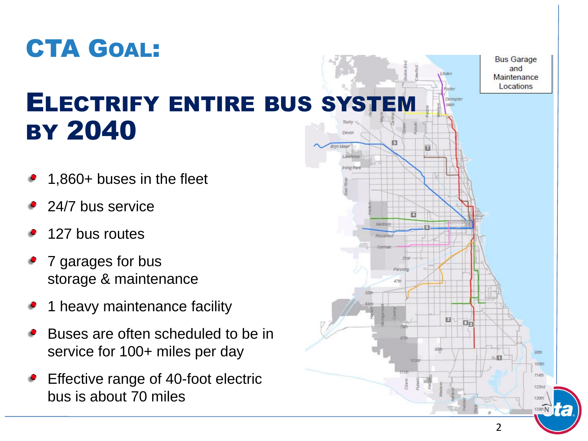

#### ELECTRIFY ENTIRE BUS SYSTEM BY 2040 Devon

- 1,860+ buses in the fleet
- 24/7 bus service
- 127 bus routes
- 7 garages for bus storage & maintenance
- 1 heavy maintenance facility
- Buses are often scheduled to be in service for 100+ miles per day
- Effective range of 40-foot electric bus is about 70 miles

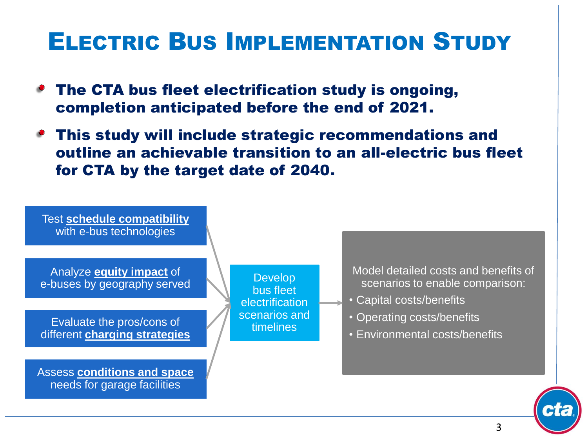## ELECTRIC BUS IMPLEMENTATION STUDY

- The CTA bus fleet electrification study is ongoing, completion anticipated before the end of 2021.
- This study will include strategic recommendations and outline an achievable transition to an all-electric bus fleet for CTA by the target date of 2040.





3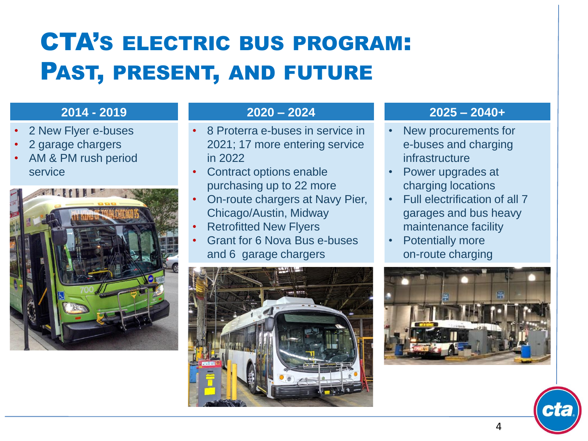# CTA'S ELECTRIC BUS PROGRAM: PAST, PRESENT, AND FUTURE

#### **2014 - 2019**

- 2 New Flyer e-buses
- 2 garage chargers
- AM & PM rush period service



#### **2020 – 2024**

- 8 Proterra e-buses in service in 2021; 17 more entering service in 2022
- Contract options enable purchasing up to 22 more
- On-route chargers at Navy Pier, Chicago/Austin, Midway
- Retrofitted New Flyers
- Grant for 6 Nova Bus e-buses and 6 garage chargers



#### **2025 – 2040+**

- New procurements for e-buses and charging infrastructure
- Power upgrades at charging locations
- Full electrification of all 7 garages and bus heavy maintenance facility
- **Potentially more** on-route charging



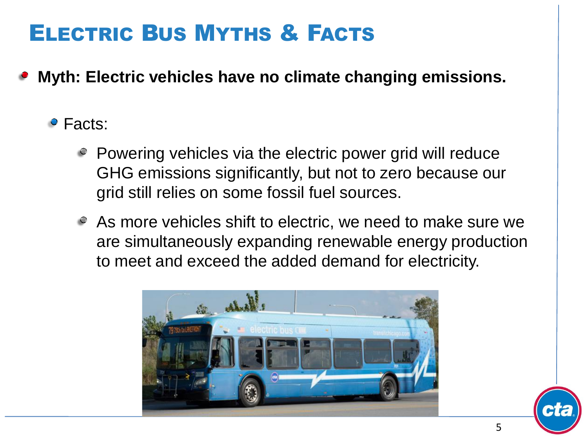**Myth: Electric vehicles have no climate changing emissions.**

#### Facts:

- Powering vehicles via the electric power grid will reduce GHG emissions significantly, but not to zero because our grid still relies on some fossil fuel sources.
- As more vehicles shift to electric, we need to make sure we are simultaneously expanding renewable energy production to meet and exceed the added demand for electricity.



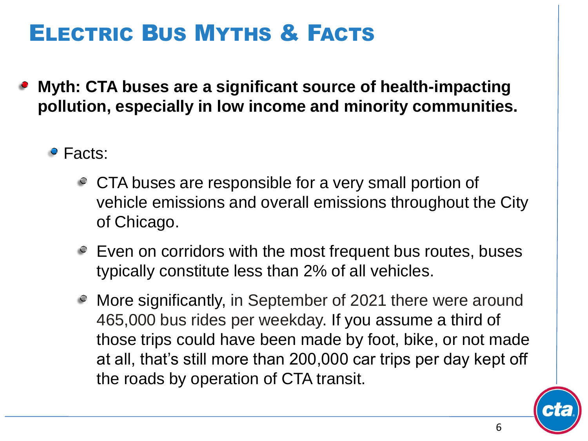- **Myth: CTA buses are a significant source of health-impacting pollution, especially in low income and minority communities.**
	- Facts:
		- CTA buses are responsible for a very small portion of vehicle emissions and overall emissions throughout the City of Chicago.
		- $\degree$  Even on corridors with the most frequent bus routes, buses typically constitute less than 2% of all vehicles.
		- More significantly, in September of 2021 there were around 465,000 bus rides per weekday. If you assume a third of those trips could have been made by foot, bike, or not made at all, that's still more than 200,000 car trips per day kept off the roads by operation of CTA transit.

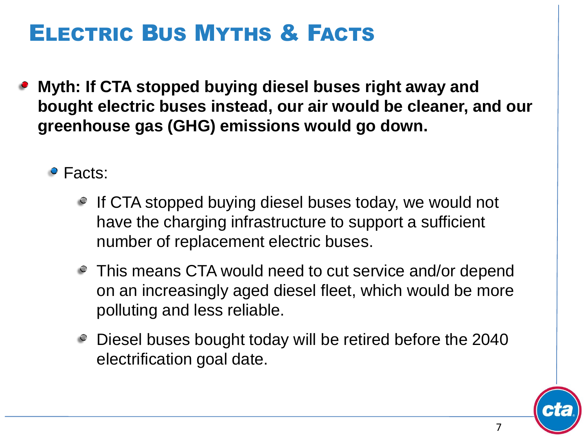**Myth: If CTA stopped buying diesel buses right away and bought electric buses instead, our air would be cleaner, and our greenhouse gas (GHG) emissions would go down.**

• Facts:

- If CTA stopped buying diesel buses today, we would not have the charging infrastructure to support a sufficient number of replacement electric buses.
- This means CTA would need to cut service and/or depend on an increasingly aged diesel fleet, which would be more polluting and less reliable.
- Diesel buses bought today will be retired before the 2040 electrification goal date.

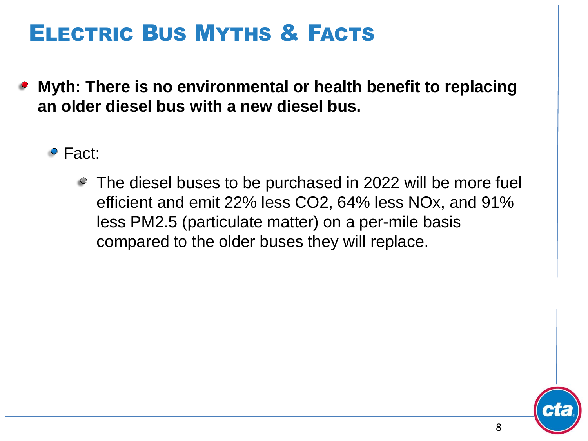- **Myth: There is no environmental or health benefit to replacing an older diesel bus with a new diesel bus.**
	- Fact:
		- The diesel buses to be purchased in 2022 will be more fuel efficient and emit 22% less CO2, 64% less NOx, and 91% less PM2.5 (particulate matter) on a per-mile basis compared to the older buses they will replace.

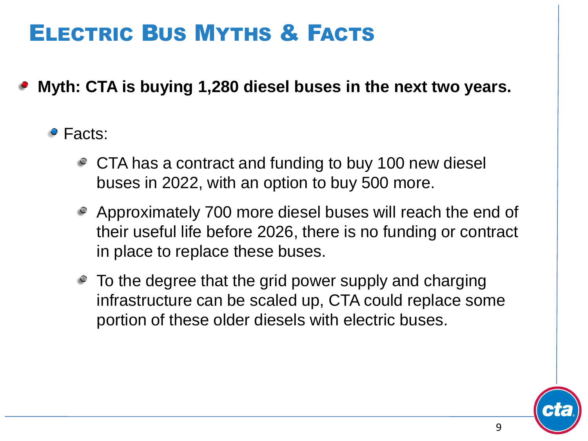**Myth: CTA is buying 1,280 diesel buses in the next two years.**

#### • Facts:

- CTA has a contract and funding to buy 100 new diesel buses in 2022, with an option to buy 500 more.
- Approximately 700 more diesel buses will reach the end of their useful life before 2026, there is no funding or contract in place to replace these buses.
- $\degree$  To the degree that the grid power supply and charging infrastructure can be scaled up, CTA could replace some portion of these older diesels with electric buses.

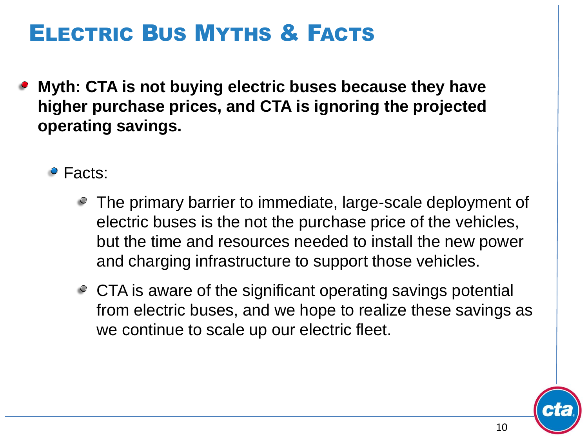**Myth: CTA is not buying electric buses because they have higher purchase prices, and CTA is ignoring the projected operating savings.**

• Facts:

- The primary barrier to immediate, large-scale deployment of electric buses is the not the purchase price of the vehicles, but the time and resources needed to install the new power and charging infrastructure to support those vehicles.
- CTA is aware of the significant operating savings potential from electric buses, and we hope to realize these savings as we continue to scale up our electric fleet.

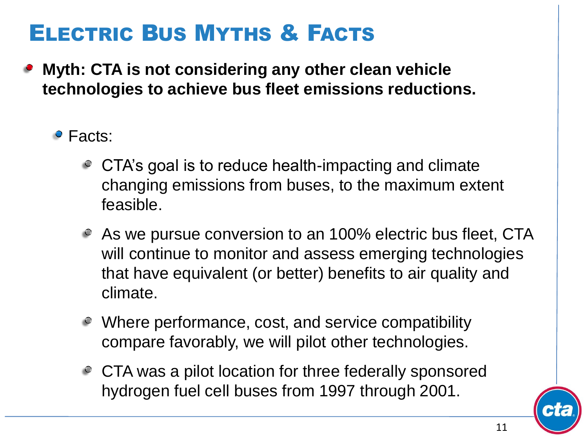- **Myth: CTA is not considering any other clean vehicle technologies to achieve bus fleet emissions reductions.**
	- Facts:
		- CTA's goal is to reduce health-impacting and climate changing emissions from buses, to the maximum extent feasible.
		- As we pursue conversion to an 100% electric bus fleet, CTA will continue to monitor and assess emerging technologies that have equivalent (or better) benefits to air quality and climate.
		- Where performance, cost, and service compatibility compare favorably, we will pilot other technologies.
		- CTA was a pilot location for three federally sponsored hydrogen fuel cell buses from 1997 through 2001.

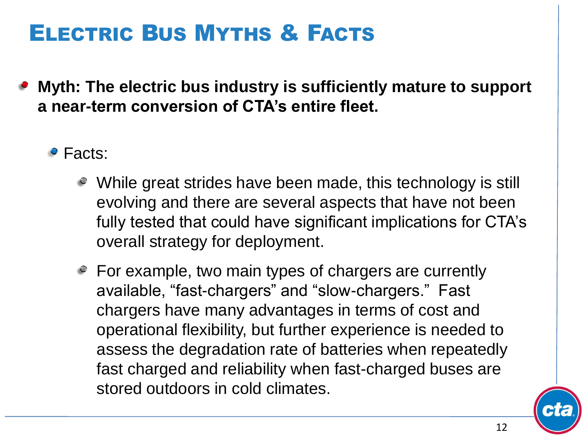- **Myth: The electric bus industry is sufficiently mature to support a near-term conversion of CTA's entire fleet.**
	- Facts:
		- $\circ$  While great strides have been made, this technology is still evolving and there are several aspects that have not been fully tested that could have significant implications for CTA's overall strategy for deployment.
		- For example, two main types of chargers are currently available, "fast-chargers" and "slow-chargers." Fast chargers have many advantages in terms of cost and operational flexibility, but further experience is needed to assess the degradation rate of batteries when repeatedly fast charged and reliability when fast-charged buses are stored outdoors in cold climates.

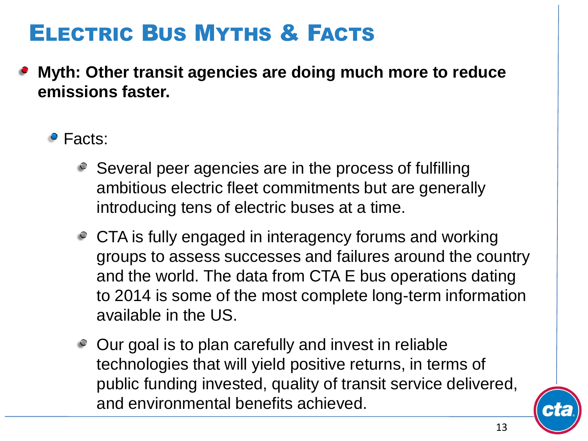- **Myth: Other transit agencies are doing much more to reduce emissions faster.**
	- Facts:
		- Several peer agencies are in the process of fulfilling ambitious electric fleet commitments but are generally introducing tens of electric buses at a time.
		- CTA is fully engaged in interagency forums and working groups to assess successes and failures around the country and the world. The data from CTA E bus operations dating to 2014 is some of the most complete long-term information available in the US.
		- Our goal is to plan carefully and invest in reliable technologies that will yield positive returns, in terms of public funding invested, quality of transit service delivered, and environmental benefits achieved.